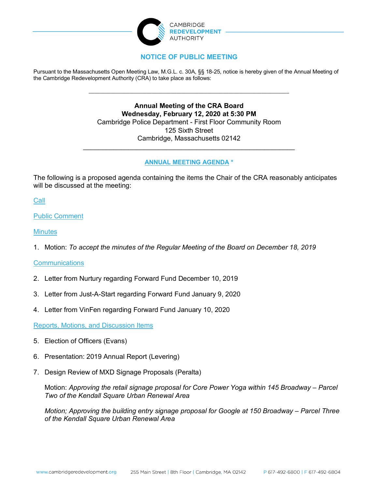

# **NOTICE OF PUBLIC MEETING**

Pursuant to the Massachusetts Open Meeting Law, M.G.L. c. 30A, §§ 18-25, notice is hereby given of the Annual Meeting of the Cambridge Redevelopment Authority (CRA) to take place as follows:

\_\_\_\_\_\_\_\_\_\_\_\_\_\_\_\_\_\_\_\_\_\_\_\_\_\_\_\_\_\_\_\_\_\_\_\_\_\_\_\_\_\_\_\_\_\_\_\_\_\_\_\_\_\_\_\_\_\_\_\_\_\_\_\_\_\_\_\_\_\_\_\_\_

**Annual Meeting of the CRA Board Wednesday, February 12, 2020 at 5:30 PM** Cambridge Police Department - First Floor Community Room 125 Sixth Street Cambridge, Massachusetts 02142

### **ANNUAL MEETING AGENDA \***

 $\mathcal{L}_\text{max}$  and  $\mathcal{L}_\text{max}$  and  $\mathcal{L}_\text{max}$  and  $\mathcal{L}_\text{max}$  and  $\mathcal{L}_\text{max}$ 

The following is a proposed agenda containing the items the Chair of the CRA reasonably anticipates will be discussed at the meeting:

Call

Public Comment

**Minutes** 

1. Motion: *To accept the minutes of the Regular Meeting of the Board on December 18, 2019*

## **Communications**

- 2. Letter from Nurtury regarding Forward Fund December 10, 2019
- 3. Letter from Just-A-Start regarding Forward Fund January 9, 2020
- 4. Letter from VinFen regarding Forward Fund January 10, 2020

Reports, Motions, and Discussion Items

- 5. Election of Officers (Evans)
- 6. Presentation: 2019 Annual Report (Levering)
- 7. Design Review of MXD Signage Proposals (Peralta)

Motion: *Approving the retail signage proposal for Core Power Yoga within 145 Broadway – Parcel Two of the Kendall Square Urban Renewal Area*

*Motion; Approving the building entry signage proposal for Google at 150 Broadway – Parcel Three of the Kendall Square Urban Renewal Area*